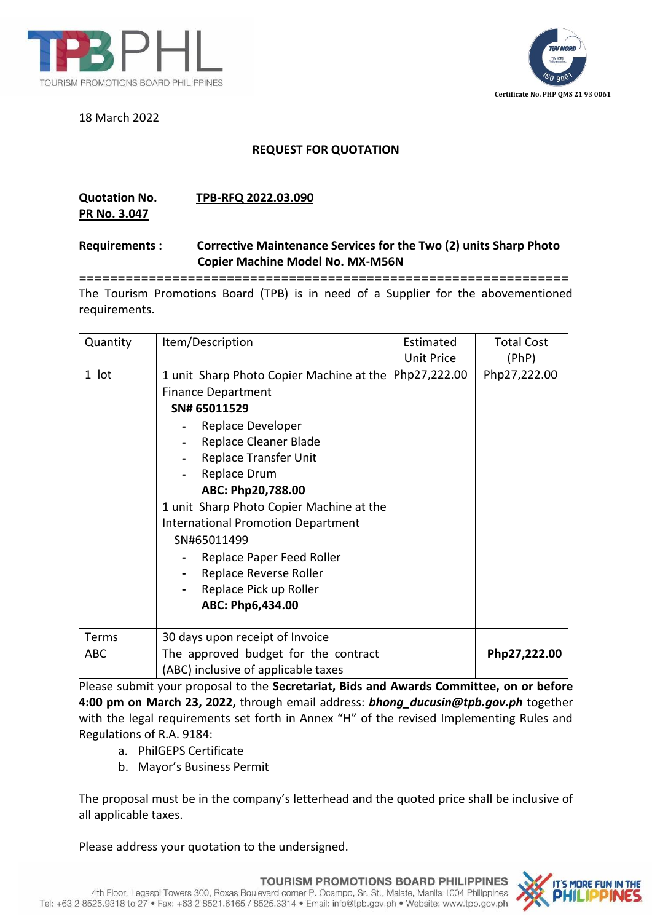

18 March 2022



## **REQUEST FOR QUOTATION**

## **Quotation No. TPB-RFQ 2022.03.090**

**PR No. 3.047**

## **Requirements : Corrective Maintenance Services for the Two (2) units Sharp Photo Copier Machine Model No. MX-M56N**

**===============================================================** The Tourism Promotions Board (TPB) is in need of a Supplier for the abovementioned requirements.

| Quantity     | Item/Description                                                                                                                                                                                                                                                                                                                                                                                                            | Estimated<br>Unit Price | <b>Total Cost</b><br>(PhP) |
|--------------|-----------------------------------------------------------------------------------------------------------------------------------------------------------------------------------------------------------------------------------------------------------------------------------------------------------------------------------------------------------------------------------------------------------------------------|-------------------------|----------------------------|
| 1 lot        | 1 unit Sharp Photo Copier Machine at the Php27,222.00<br><b>Finance Department</b><br>SN# 65011529<br>Replace Developer<br>Replace Cleaner Blade<br>Replace Transfer Unit<br>Replace Drum<br>ABC: Php20,788.00<br>1 unit Sharp Photo Copier Machine at the<br><b>International Promotion Department</b><br>SN#65011499<br>Replace Paper Feed Roller<br>Replace Reverse Roller<br>Replace Pick up Roller<br>ABC: Php6,434.00 |                         | Php27,222.00               |
| <b>Terms</b> | 30 days upon receipt of Invoice                                                                                                                                                                                                                                                                                                                                                                                             |                         |                            |
| <b>ABC</b>   | The approved budget for the contract<br>(ABC) inclusive of applicable taxes                                                                                                                                                                                                                                                                                                                                                 |                         | Php27,222.00               |

Please submit your proposal to the **Secretariat, Bids and Awards Committee, on or before 4:00 pm on March 23, 2022,** through email address: *bhong\_ducusin@tpb.gov.ph* together with the legal requirements set forth in Annex "H" of the revised Implementing Rules and Regulations of R.A. 9184:

- a. PhilGEPS Certificate
- b. Mayor's Business Permit

The proposal must be in the company's letterhead and the quoted price shall be inclusive of all applicable taxes.

Please address your quotation to the undersigned.